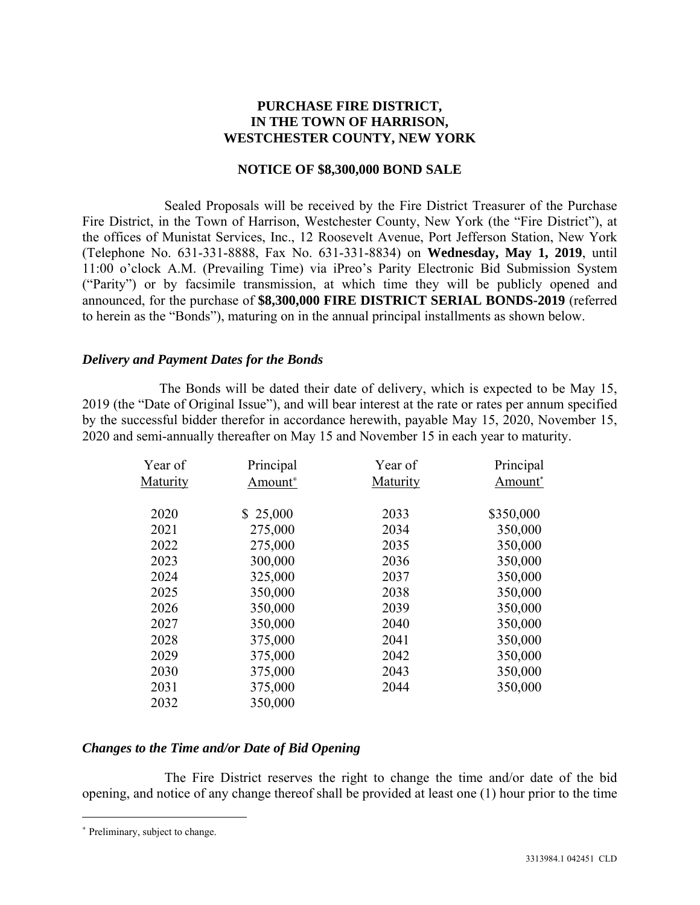# **PURCHASE FIRE DISTRICT, IN THE TOWN OF HARRISON, WESTCHESTER COUNTY, NEW YORK**

#### **NOTICE OF \$8,300,000 BOND SALE**

Sealed Proposals will be received by the Fire District Treasurer of the Purchase Fire District, in the Town of Harrison, Westchester County, New York (the "Fire District"), at the offices of Munistat Services, Inc., 12 Roosevelt Avenue, Port Jefferson Station, New York (Telephone No. 631-331-8888, Fax No. 631-331-8834) on **Wednesday, May 1, 2019**, until 11:00 o'clock A.M. (Prevailing Time) via iPreo's Parity Electronic Bid Submission System ("Parity") or by facsimile transmission, at which time they will be publicly opened and announced, for the purchase of **\$8,300,000 FIRE DISTRICT SERIAL BONDS-2019** (referred to herein as the "Bonds"), maturing on in the annual principal installments as shown below.

# *Delivery and Payment Dates for the Bonds*

The Bonds will be dated their date of delivery, which is expected to be May 15, 2019 (the "Date of Original Issue"), and will bear interest at the rate or rates per annum specified by the successful bidder therefor in accordance herewith, payable May 15, 2020, November 15, 2020 and semi-annually thereafter on May 15 and November 15 in each year to maturity.

| Year of  | Principal           | Year of  | Principal           |
|----------|---------------------|----------|---------------------|
| Maturity | Amount <sup>*</sup> | Maturity | Amount <sup>*</sup> |
|          |                     |          |                     |
| 2020     | \$25,000            | 2033     | \$350,000           |
| 2021     | 275,000             | 2034     | 350,000             |
| 2022     | 275,000             | 2035     | 350,000             |
| 2023     | 300,000             | 2036     | 350,000             |
| 2024     | 325,000             | 2037     | 350,000             |
| 2025     | 350,000             | 2038     | 350,000             |
| 2026     | 350,000             | 2039     | 350,000             |
| 2027     | 350,000             | 2040     | 350,000             |
| 2028     | 375,000             | 2041     | 350,000             |
| 2029     | 375,000             | 2042     | 350,000             |
| 2030     | 375,000             | 2043     | 350,000             |
| 2031     | 375,000             | 2044     | 350,000             |
| 2032     | 350,000             |          |                     |

# *Changes to the Time and/or Date of Bid Opening*

The Fire District reserves the right to change the time and/or date of the bid opening, and notice of any change thereof shall be provided at least one (1) hour prior to the time

 $\overline{a}$ 

<sup>∗</sup> Preliminary, subject to change.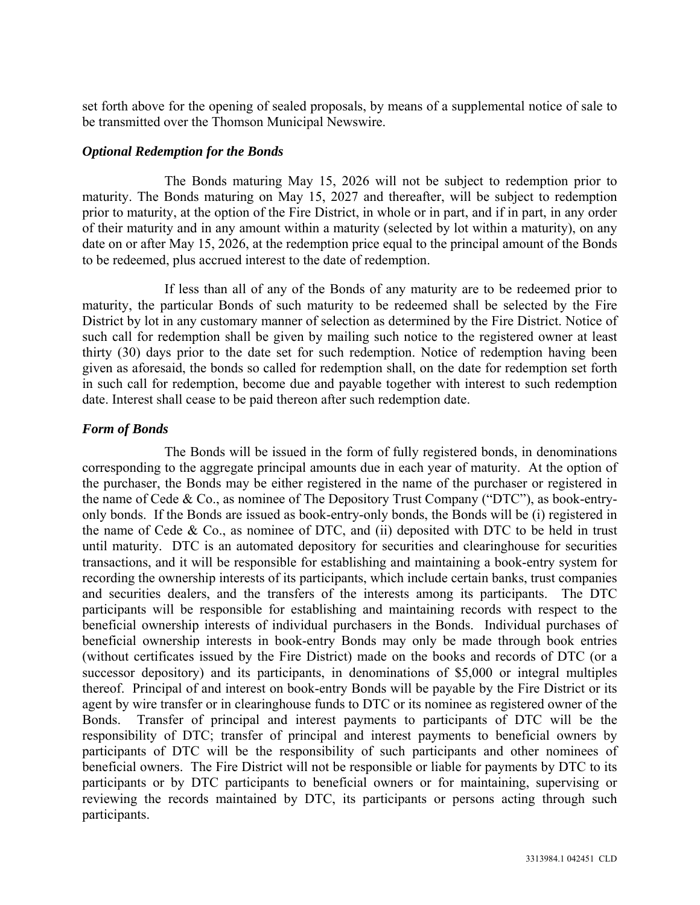set forth above for the opening of sealed proposals, by means of a supplemental notice of sale to be transmitted over the Thomson Municipal Newswire.

# *Optional Redemption for the Bonds*

The Bonds maturing May 15, 2026 will not be subject to redemption prior to maturity. The Bonds maturing on May 15, 2027 and thereafter, will be subject to redemption prior to maturity, at the option of the Fire District, in whole or in part, and if in part, in any order of their maturity and in any amount within a maturity (selected by lot within a maturity), on any date on or after May 15, 2026, at the redemption price equal to the principal amount of the Bonds to be redeemed, plus accrued interest to the date of redemption.

If less than all of any of the Bonds of any maturity are to be redeemed prior to maturity, the particular Bonds of such maturity to be redeemed shall be selected by the Fire District by lot in any customary manner of selection as determined by the Fire District. Notice of such call for redemption shall be given by mailing such notice to the registered owner at least thirty (30) days prior to the date set for such redemption. Notice of redemption having been given as aforesaid, the bonds so called for redemption shall, on the date for redemption set forth in such call for redemption, become due and payable together with interest to such redemption date. Interest shall cease to be paid thereon after such redemption date.

# *Form of Bonds*

The Bonds will be issued in the form of fully registered bonds, in denominations corresponding to the aggregate principal amounts due in each year of maturity. At the option of the purchaser, the Bonds may be either registered in the name of the purchaser or registered in the name of Cede & Co., as nominee of The Depository Trust Company ("DTC"), as book-entryonly bonds. If the Bonds are issued as book-entry-only bonds, the Bonds will be (i) registered in the name of Cede & Co., as nominee of DTC, and (ii) deposited with DTC to be held in trust until maturity. DTC is an automated depository for securities and clearinghouse for securities transactions, and it will be responsible for establishing and maintaining a book-entry system for recording the ownership interests of its participants, which include certain banks, trust companies and securities dealers, and the transfers of the interests among its participants. The DTC participants will be responsible for establishing and maintaining records with respect to the beneficial ownership interests of individual purchasers in the Bonds. Individual purchases of beneficial ownership interests in book-entry Bonds may only be made through book entries (without certificates issued by the Fire District) made on the books and records of DTC (or a successor depository) and its participants, in denominations of \$5,000 or integral multiples thereof. Principal of and interest on book-entry Bonds will be payable by the Fire District or its agent by wire transfer or in clearinghouse funds to DTC or its nominee as registered owner of the Bonds. Transfer of principal and interest payments to participants of DTC will be the responsibility of DTC; transfer of principal and interest payments to beneficial owners by participants of DTC will be the responsibility of such participants and other nominees of beneficial owners. The Fire District will not be responsible or liable for payments by DTC to its participants or by DTC participants to beneficial owners or for maintaining, supervising or reviewing the records maintained by DTC, its participants or persons acting through such participants.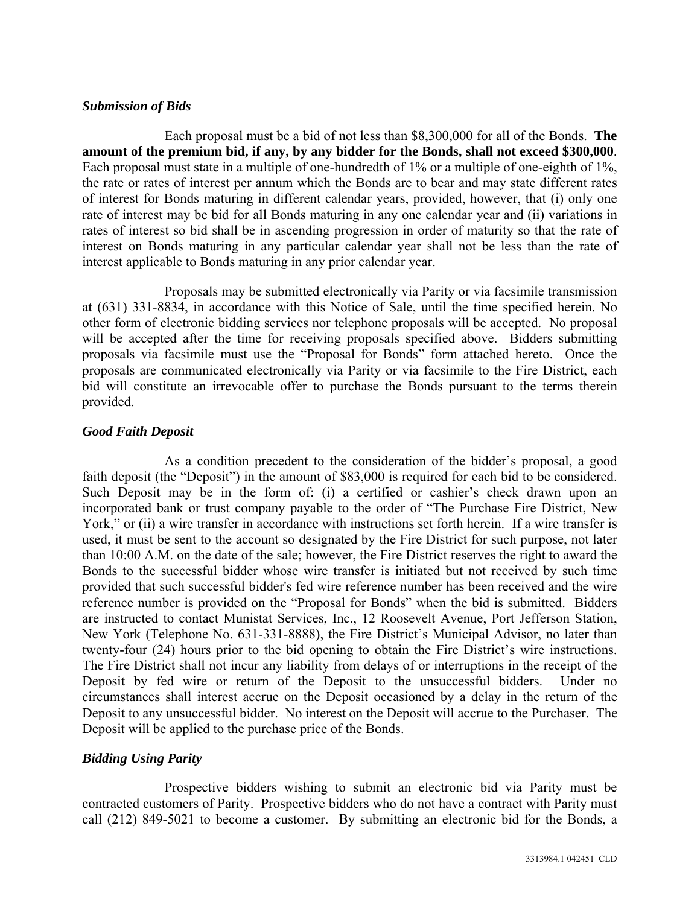#### *Submission of Bids*

Each proposal must be a bid of not less than \$8,300,000 for all of the Bonds. **The amount of the premium bid, if any, by any bidder for the Bonds, shall not exceed \$300,000**. Each proposal must state in a multiple of one-hundredth of 1% or a multiple of one-eighth of 1%, the rate or rates of interest per annum which the Bonds are to bear and may state different rates of interest for Bonds maturing in different calendar years, provided, however, that (i) only one rate of interest may be bid for all Bonds maturing in any one calendar year and (ii) variations in rates of interest so bid shall be in ascending progression in order of maturity so that the rate of interest on Bonds maturing in any particular calendar year shall not be less than the rate of interest applicable to Bonds maturing in any prior calendar year.

Proposals may be submitted electronically via Parity or via facsimile transmission at (631) 331-8834, in accordance with this Notice of Sale, until the time specified herein. No other form of electronic bidding services nor telephone proposals will be accepted. No proposal will be accepted after the time for receiving proposals specified above. Bidders submitting proposals via facsimile must use the "Proposal for Bonds" form attached hereto. Once the proposals are communicated electronically via Parity or via facsimile to the Fire District, each bid will constitute an irrevocable offer to purchase the Bonds pursuant to the terms therein provided.

# *Good Faith Deposit*

As a condition precedent to the consideration of the bidder's proposal, a good faith deposit (the "Deposit") in the amount of \$83,000 is required for each bid to be considered. Such Deposit may be in the form of: (i) a certified or cashier's check drawn upon an incorporated bank or trust company payable to the order of "The Purchase Fire District, New York," or (ii) a wire transfer in accordance with instructions set forth herein. If a wire transfer is used, it must be sent to the account so designated by the Fire District for such purpose, not later than 10:00 A.M. on the date of the sale; however, the Fire District reserves the right to award the Bonds to the successful bidder whose wire transfer is initiated but not received by such time provided that such successful bidder's fed wire reference number has been received and the wire reference number is provided on the "Proposal for Bonds" when the bid is submitted. Bidders are instructed to contact Munistat Services, Inc., 12 Roosevelt Avenue, Port Jefferson Station, New York (Telephone No. 631-331-8888), the Fire District's Municipal Advisor, no later than twenty-four (24) hours prior to the bid opening to obtain the Fire District's wire instructions. The Fire District shall not incur any liability from delays of or interruptions in the receipt of the Deposit by fed wire or return of the Deposit to the unsuccessful bidders. Under no circumstances shall interest accrue on the Deposit occasioned by a delay in the return of the Deposit to any unsuccessful bidder. No interest on the Deposit will accrue to the Purchaser. The Deposit will be applied to the purchase price of the Bonds.

# *Bidding Using Parity*

Prospective bidders wishing to submit an electronic bid via Parity must be contracted customers of Parity. Prospective bidders who do not have a contract with Parity must call (212) 849-5021 to become a customer. By submitting an electronic bid for the Bonds, a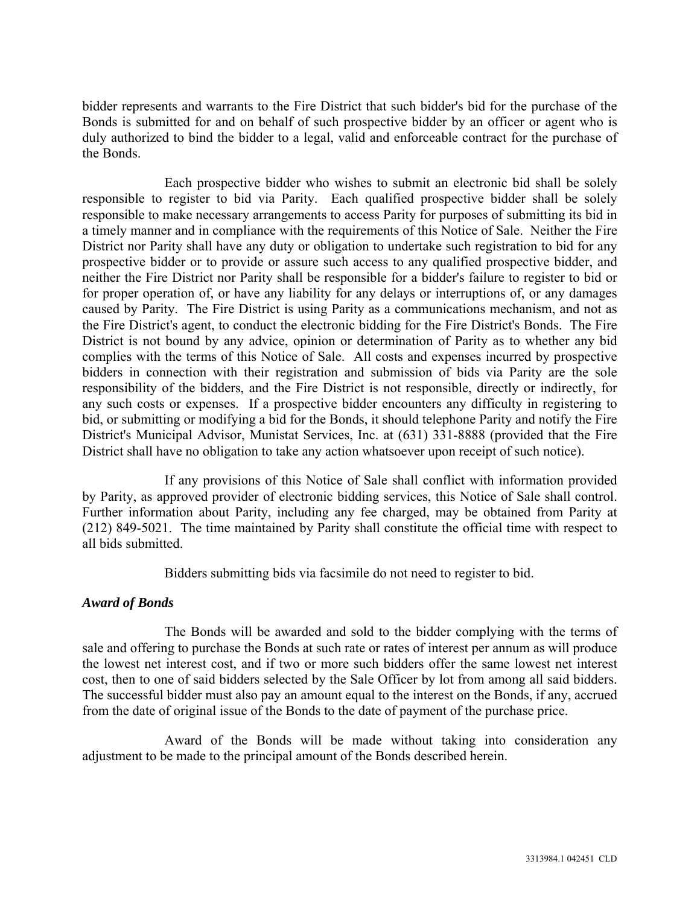bidder represents and warrants to the Fire District that such bidder's bid for the purchase of the Bonds is submitted for and on behalf of such prospective bidder by an officer or agent who is duly authorized to bind the bidder to a legal, valid and enforceable contract for the purchase of the Bonds.

Each prospective bidder who wishes to submit an electronic bid shall be solely responsible to register to bid via Parity. Each qualified prospective bidder shall be solely responsible to make necessary arrangements to access Parity for purposes of submitting its bid in a timely manner and in compliance with the requirements of this Notice of Sale. Neither the Fire District nor Parity shall have any duty or obligation to undertake such registration to bid for any prospective bidder or to provide or assure such access to any qualified prospective bidder, and neither the Fire District nor Parity shall be responsible for a bidder's failure to register to bid or for proper operation of, or have any liability for any delays or interruptions of, or any damages caused by Parity. The Fire District is using Parity as a communications mechanism, and not as the Fire District's agent, to conduct the electronic bidding for the Fire District's Bonds. The Fire District is not bound by any advice, opinion or determination of Parity as to whether any bid complies with the terms of this Notice of Sale. All costs and expenses incurred by prospective bidders in connection with their registration and submission of bids via Parity are the sole responsibility of the bidders, and the Fire District is not responsible, directly or indirectly, for any such costs or expenses. If a prospective bidder encounters any difficulty in registering to bid, or submitting or modifying a bid for the Bonds, it should telephone Parity and notify the Fire District's Municipal Advisor, Munistat Services, Inc. at (631) 331-8888 (provided that the Fire District shall have no obligation to take any action whatsoever upon receipt of such notice).

If any provisions of this Notice of Sale shall conflict with information provided by Parity, as approved provider of electronic bidding services, this Notice of Sale shall control. Further information about Parity, including any fee charged, may be obtained from Parity at (212) 849-5021. The time maintained by Parity shall constitute the official time with respect to all bids submitted.

Bidders submitting bids via facsimile do not need to register to bid.

# *Award of Bonds*

The Bonds will be awarded and sold to the bidder complying with the terms of sale and offering to purchase the Bonds at such rate or rates of interest per annum as will produce the lowest net interest cost, and if two or more such bidders offer the same lowest net interest cost, then to one of said bidders selected by the Sale Officer by lot from among all said bidders. The successful bidder must also pay an amount equal to the interest on the Bonds, if any, accrued from the date of original issue of the Bonds to the date of payment of the purchase price.

Award of the Bonds will be made without taking into consideration any adjustment to be made to the principal amount of the Bonds described herein.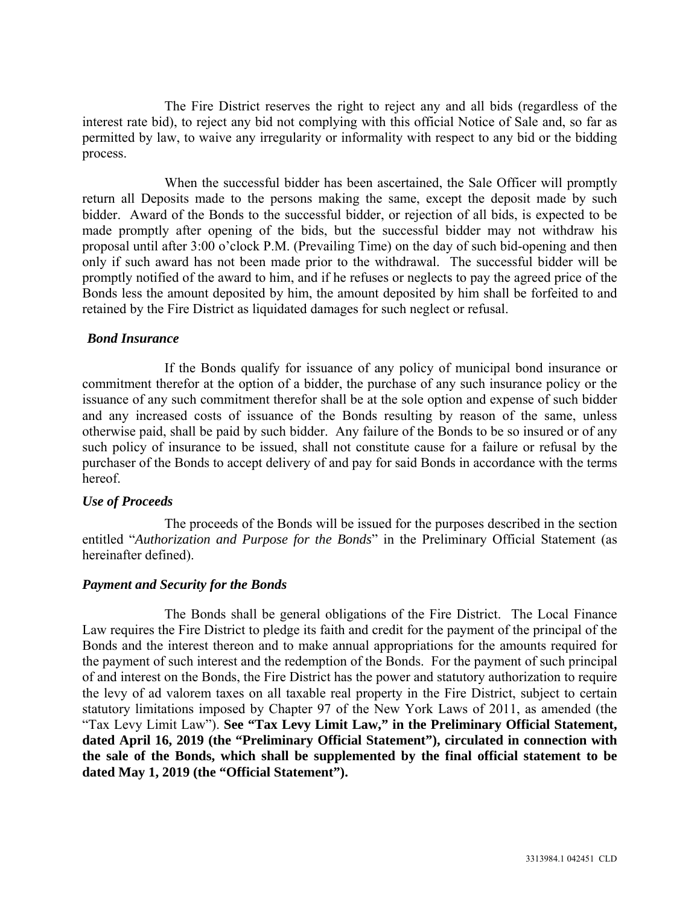The Fire District reserves the right to reject any and all bids (regardless of the interest rate bid), to reject any bid not complying with this official Notice of Sale and, so far as permitted by law, to waive any irregularity or informality with respect to any bid or the bidding process.

When the successful bidder has been ascertained, the Sale Officer will promptly return all Deposits made to the persons making the same, except the deposit made by such bidder. Award of the Bonds to the successful bidder, or rejection of all bids, is expected to be made promptly after opening of the bids, but the successful bidder may not withdraw his proposal until after 3:00 o'clock P.M. (Prevailing Time) on the day of such bid-opening and then only if such award has not been made prior to the withdrawal. The successful bidder will be promptly notified of the award to him, and if he refuses or neglects to pay the agreed price of the Bonds less the amount deposited by him, the amount deposited by him shall be forfeited to and retained by the Fire District as liquidated damages for such neglect or refusal.

#### *Bond Insurance*

If the Bonds qualify for issuance of any policy of municipal bond insurance or commitment therefor at the option of a bidder, the purchase of any such insurance policy or the issuance of any such commitment therefor shall be at the sole option and expense of such bidder and any increased costs of issuance of the Bonds resulting by reason of the same, unless otherwise paid, shall be paid by such bidder. Any failure of the Bonds to be so insured or of any such policy of insurance to be issued, shall not constitute cause for a failure or refusal by the purchaser of the Bonds to accept delivery of and pay for said Bonds in accordance with the terms hereof.

#### *Use of Proceeds*

The proceeds of the Bonds will be issued for the purposes described in the section entitled "*Authorization and Purpose for the Bonds*" in the Preliminary Official Statement (as hereinafter defined).

# *Payment and Security for the Bonds*

The Bonds shall be general obligations of the Fire District. The Local Finance Law requires the Fire District to pledge its faith and credit for the payment of the principal of the Bonds and the interest thereon and to make annual appropriations for the amounts required for the payment of such interest and the redemption of the Bonds. For the payment of such principal of and interest on the Bonds, the Fire District has the power and statutory authorization to require the levy of ad valorem taxes on all taxable real property in the Fire District, subject to certain statutory limitations imposed by Chapter 97 of the New York Laws of 2011, as amended (the "Tax Levy Limit Law"). **See "Tax Levy Limit Law," in the Preliminary Official Statement, dated April 16, 2019 (the "Preliminary Official Statement"), circulated in connection with the sale of the Bonds, which shall be supplemented by the final official statement to be dated May 1, 2019 (the "Official Statement").**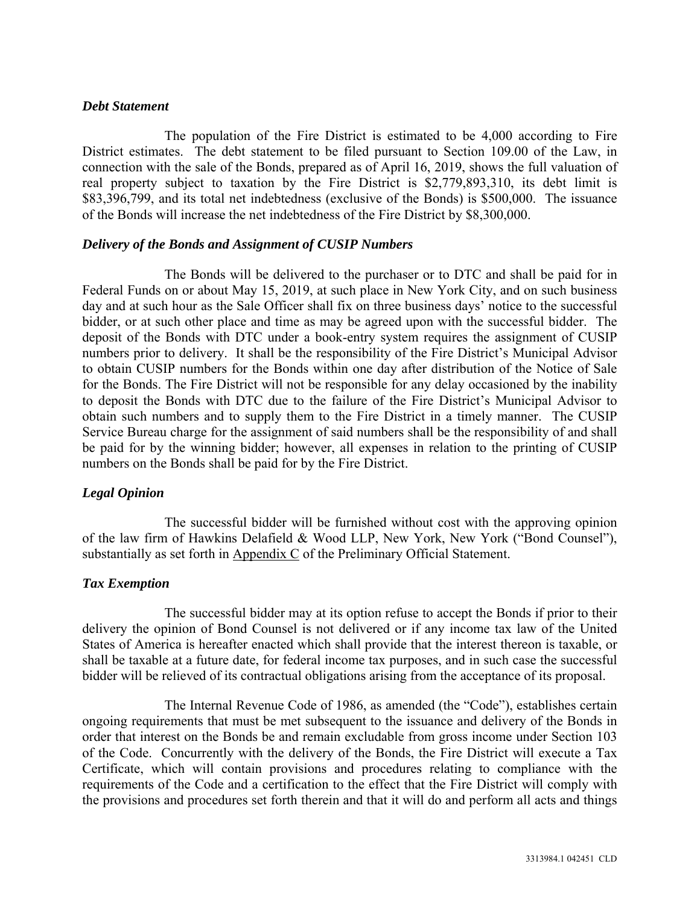#### *Debt Statement*

The population of the Fire District is estimated to be 4,000 according to Fire District estimates. The debt statement to be filed pursuant to Section 109.00 of the Law, in connection with the sale of the Bonds, prepared as of April 16, 2019, shows the full valuation of real property subject to taxation by the Fire District is \$2,779,893,310, its debt limit is \$83,396,799, and its total net indebtedness (exclusive of the Bonds) is \$500,000. The issuance of the Bonds will increase the net indebtedness of the Fire District by \$8,300,000.

#### *Delivery of the Bonds and Assignment of CUSIP Numbers*

The Bonds will be delivered to the purchaser or to DTC and shall be paid for in Federal Funds on or about May 15, 2019, at such place in New York City, and on such business day and at such hour as the Sale Officer shall fix on three business days' notice to the successful bidder, or at such other place and time as may be agreed upon with the successful bidder. The deposit of the Bonds with DTC under a book-entry system requires the assignment of CUSIP numbers prior to delivery. It shall be the responsibility of the Fire District's Municipal Advisor to obtain CUSIP numbers for the Bonds within one day after distribution of the Notice of Sale for the Bonds. The Fire District will not be responsible for any delay occasioned by the inability to deposit the Bonds with DTC due to the failure of the Fire District's Municipal Advisor to obtain such numbers and to supply them to the Fire District in a timely manner. The CUSIP Service Bureau charge for the assignment of said numbers shall be the responsibility of and shall be paid for by the winning bidder; however, all expenses in relation to the printing of CUSIP numbers on the Bonds shall be paid for by the Fire District.

# *Legal Opinion*

The successful bidder will be furnished without cost with the approving opinion of the law firm of Hawkins Delafield & Wood LLP, New York, New York ("Bond Counsel"), substantially as set forth in Appendix C of the Preliminary Official Statement.

# *Tax Exemption*

The successful bidder may at its option refuse to accept the Bonds if prior to their delivery the opinion of Bond Counsel is not delivered or if any income tax law of the United States of America is hereafter enacted which shall provide that the interest thereon is taxable, or shall be taxable at a future date, for federal income tax purposes, and in such case the successful bidder will be relieved of its contractual obligations arising from the acceptance of its proposal.

The Internal Revenue Code of 1986, as amended (the "Code"), establishes certain ongoing requirements that must be met subsequent to the issuance and delivery of the Bonds in order that interest on the Bonds be and remain excludable from gross income under Section 103 of the Code. Concurrently with the delivery of the Bonds, the Fire District will execute a Tax Certificate, which will contain provisions and procedures relating to compliance with the requirements of the Code and a certification to the effect that the Fire District will comply with the provisions and procedures set forth therein and that it will do and perform all acts and things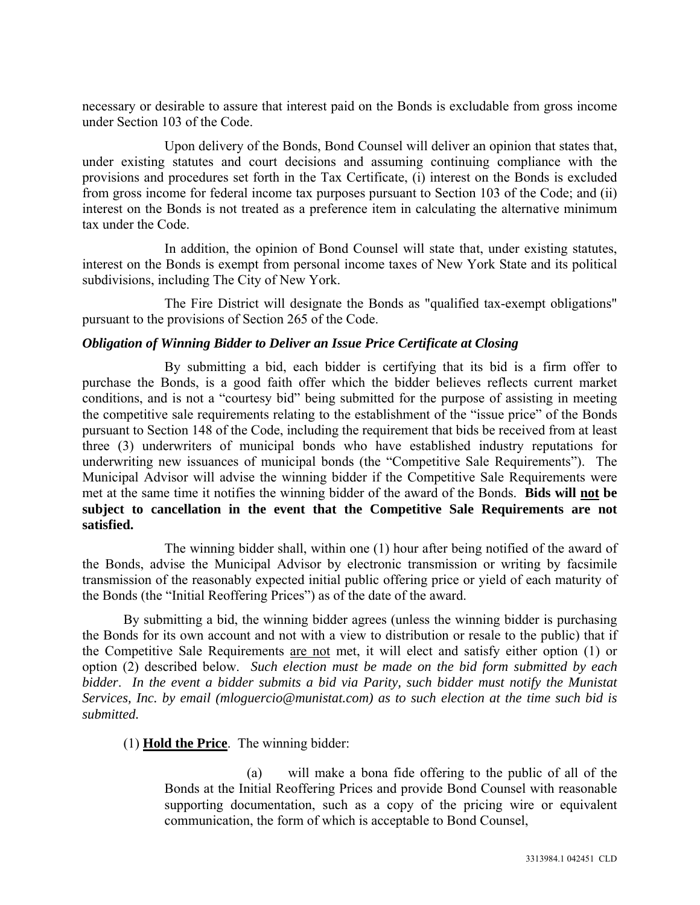necessary or desirable to assure that interest paid on the Bonds is excludable from gross income under Section 103 of the Code.

Upon delivery of the Bonds, Bond Counsel will deliver an opinion that states that, under existing statutes and court decisions and assuming continuing compliance with the provisions and procedures set forth in the Tax Certificate, (i) interest on the Bonds is excluded from gross income for federal income tax purposes pursuant to Section 103 of the Code; and (ii) interest on the Bonds is not treated as a preference item in calculating the alternative minimum tax under the Code.

In addition, the opinion of Bond Counsel will state that, under existing statutes, interest on the Bonds is exempt from personal income taxes of New York State and its political subdivisions, including The City of New York.

The Fire District will designate the Bonds as "qualified tax-exempt obligations" pursuant to the provisions of Section 265 of the Code.

# *Obligation of Winning Bidder to Deliver an Issue Price Certificate at Closing*

By submitting a bid, each bidder is certifying that its bid is a firm offer to purchase the Bonds, is a good faith offer which the bidder believes reflects current market conditions, and is not a "courtesy bid" being submitted for the purpose of assisting in meeting the competitive sale requirements relating to the establishment of the "issue price" of the Bonds pursuant to Section 148 of the Code, including the requirement that bids be received from at least three (3) underwriters of municipal bonds who have established industry reputations for underwriting new issuances of municipal bonds (the "Competitive Sale Requirements"). The Municipal Advisor will advise the winning bidder if the Competitive Sale Requirements were met at the same time it notifies the winning bidder of the award of the Bonds. **Bids will not be subject to cancellation in the event that the Competitive Sale Requirements are not satisfied.**

The winning bidder shall, within one (1) hour after being notified of the award of the Bonds, advise the Municipal Advisor by electronic transmission or writing by facsimile transmission of the reasonably expected initial public offering price or yield of each maturity of the Bonds (the "Initial Reoffering Prices") as of the date of the award.

By submitting a bid, the winning bidder agrees (unless the winning bidder is purchasing the Bonds for its own account and not with a view to distribution or resale to the public) that if the Competitive Sale Requirements are not met, it will elect and satisfy either option (1) or option (2) described below. *Such election must be made on the bid form submitted by each bidder*. *In the event a bidder submits a bid via Parity, such bidder must notify the Munistat Services, Inc. by email (mloguercio@munistat.com) as to such election at the time such bid is submitted.* 

(1) **Hold the Price**. The winning bidder:

(a) will make a bona fide offering to the public of all of the Bonds at the Initial Reoffering Prices and provide Bond Counsel with reasonable supporting documentation, such as a copy of the pricing wire or equivalent communication, the form of which is acceptable to Bond Counsel,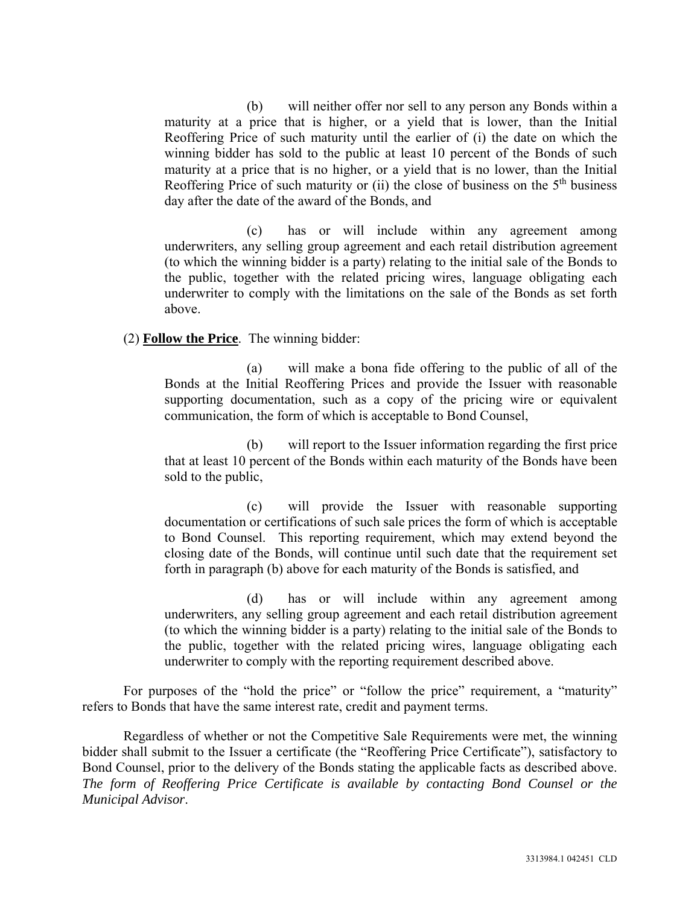(b) will neither offer nor sell to any person any Bonds within a maturity at a price that is higher, or a yield that is lower, than the Initial Reoffering Price of such maturity until the earlier of (i) the date on which the winning bidder has sold to the public at least 10 percent of the Bonds of such maturity at a price that is no higher, or a yield that is no lower, than the Initial Reoffering Price of such maturity or (ii) the close of business on the  $5<sup>th</sup>$  business day after the date of the award of the Bonds, and

(c) has or will include within any agreement among underwriters, any selling group agreement and each retail distribution agreement (to which the winning bidder is a party) relating to the initial sale of the Bonds to the public, together with the related pricing wires, language obligating each underwriter to comply with the limitations on the sale of the Bonds as set forth above.

#### (2) **Follow the Price**. The winning bidder:

(a) will make a bona fide offering to the public of all of the Bonds at the Initial Reoffering Prices and provide the Issuer with reasonable supporting documentation, such as a copy of the pricing wire or equivalent communication, the form of which is acceptable to Bond Counsel,

(b) will report to the Issuer information regarding the first price that at least 10 percent of the Bonds within each maturity of the Bonds have been sold to the public,

(c) will provide the Issuer with reasonable supporting documentation or certifications of such sale prices the form of which is acceptable to Bond Counsel. This reporting requirement, which may extend beyond the closing date of the Bonds, will continue until such date that the requirement set forth in paragraph (b) above for each maturity of the Bonds is satisfied, and

(d) has or will include within any agreement among underwriters, any selling group agreement and each retail distribution agreement (to which the winning bidder is a party) relating to the initial sale of the Bonds to the public, together with the related pricing wires, language obligating each underwriter to comply with the reporting requirement described above.

For purposes of the "hold the price" or "follow the price" requirement, a "maturity" refers to Bonds that have the same interest rate, credit and payment terms.

Regardless of whether or not the Competitive Sale Requirements were met, the winning bidder shall submit to the Issuer a certificate (the "Reoffering Price Certificate"), satisfactory to Bond Counsel, prior to the delivery of the Bonds stating the applicable facts as described above. *The form of Reoffering Price Certificate is available by contacting Bond Counsel or the Municipal Advisor*.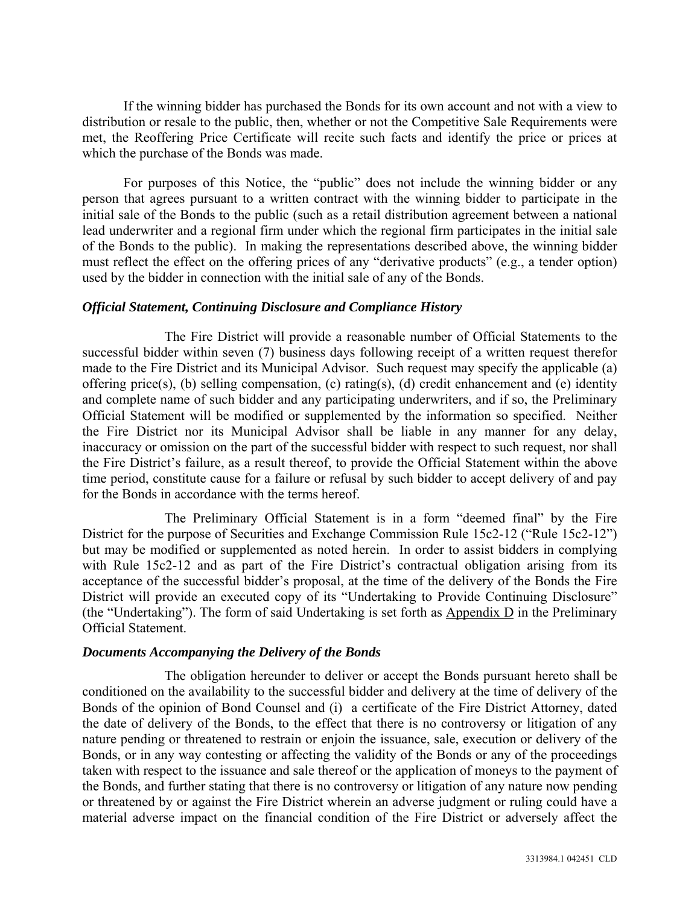If the winning bidder has purchased the Bonds for its own account and not with a view to distribution or resale to the public, then, whether or not the Competitive Sale Requirements were met, the Reoffering Price Certificate will recite such facts and identify the price or prices at which the purchase of the Bonds was made.

For purposes of this Notice, the "public" does not include the winning bidder or any person that agrees pursuant to a written contract with the winning bidder to participate in the initial sale of the Bonds to the public (such as a retail distribution agreement between a national lead underwriter and a regional firm under which the regional firm participates in the initial sale of the Bonds to the public). In making the representations described above, the winning bidder must reflect the effect on the offering prices of any "derivative products" (e.g., a tender option) used by the bidder in connection with the initial sale of any of the Bonds.

#### *Official Statement, Continuing Disclosure and Compliance History*

The Fire District will provide a reasonable number of Official Statements to the successful bidder within seven (7) business days following receipt of a written request therefor made to the Fire District and its Municipal Advisor. Such request may specify the applicable (a) offering price(s), (b) selling compensation, (c) rating(s), (d) credit enhancement and (e) identity and complete name of such bidder and any participating underwriters, and if so, the Preliminary Official Statement will be modified or supplemented by the information so specified. Neither the Fire District nor its Municipal Advisor shall be liable in any manner for any delay, inaccuracy or omission on the part of the successful bidder with respect to such request, nor shall the Fire District's failure, as a result thereof, to provide the Official Statement within the above time period, constitute cause for a failure or refusal by such bidder to accept delivery of and pay for the Bonds in accordance with the terms hereof.

The Preliminary Official Statement is in a form "deemed final" by the Fire District for the purpose of Securities and Exchange Commission Rule 15c2-12 ("Rule 15c2-12") but may be modified or supplemented as noted herein. In order to assist bidders in complying with Rule 15c2-12 and as part of the Fire District's contractual obligation arising from its acceptance of the successful bidder's proposal, at the time of the delivery of the Bonds the Fire District will provide an executed copy of its "Undertaking to Provide Continuing Disclosure" (the "Undertaking"). The form of said Undertaking is set forth as  $\Delta$ ppendix  $\overline{D}$  in the Preliminary Official Statement.

#### *Documents Accompanying the Delivery of the Bonds*

The obligation hereunder to deliver or accept the Bonds pursuant hereto shall be conditioned on the availability to the successful bidder and delivery at the time of delivery of the Bonds of the opinion of Bond Counsel and (i) a certificate of the Fire District Attorney, dated the date of delivery of the Bonds, to the effect that there is no controversy or litigation of any nature pending or threatened to restrain or enjoin the issuance, sale, execution or delivery of the Bonds, or in any way contesting or affecting the validity of the Bonds or any of the proceedings taken with respect to the issuance and sale thereof or the application of moneys to the payment of the Bonds, and further stating that there is no controversy or litigation of any nature now pending or threatened by or against the Fire District wherein an adverse judgment or ruling could have a material adverse impact on the financial condition of the Fire District or adversely affect the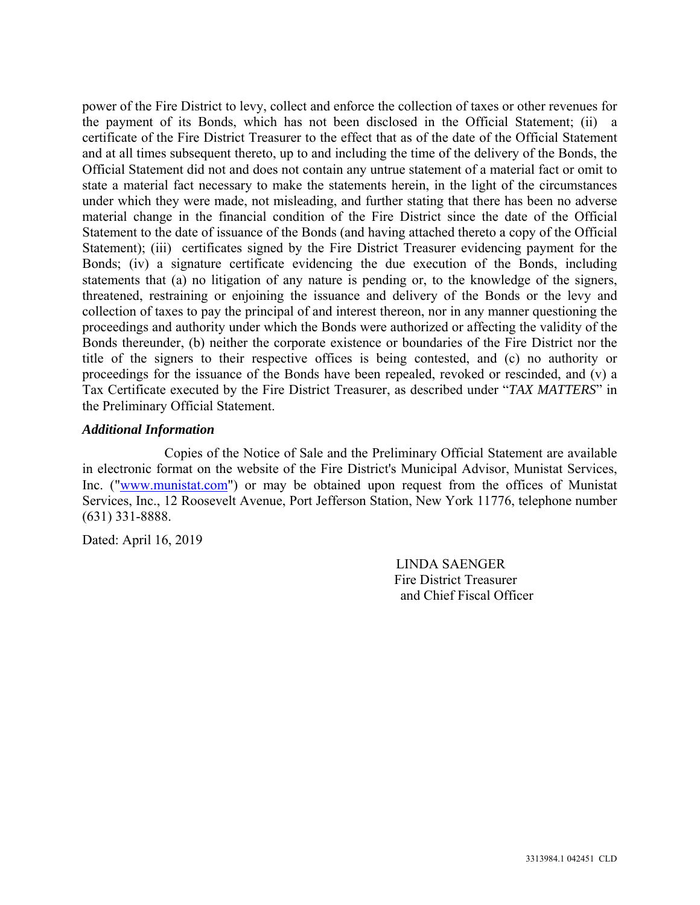power of the Fire District to levy, collect and enforce the collection of taxes or other revenues for the payment of its Bonds, which has not been disclosed in the Official Statement; (ii) a certificate of the Fire District Treasurer to the effect that as of the date of the Official Statement and at all times subsequent thereto, up to and including the time of the delivery of the Bonds, the Official Statement did not and does not contain any untrue statement of a material fact or omit to state a material fact necessary to make the statements herein, in the light of the circumstances under which they were made, not misleading, and further stating that there has been no adverse material change in the financial condition of the Fire District since the date of the Official Statement to the date of issuance of the Bonds (and having attached thereto a copy of the Official Statement); (iii) certificates signed by the Fire District Treasurer evidencing payment for the Bonds; (iv) a signature certificate evidencing the due execution of the Bonds, including statements that (a) no litigation of any nature is pending or, to the knowledge of the signers, threatened, restraining or enjoining the issuance and delivery of the Bonds or the levy and collection of taxes to pay the principal of and interest thereon, nor in any manner questioning the proceedings and authority under which the Bonds were authorized or affecting the validity of the Bonds thereunder, (b) neither the corporate existence or boundaries of the Fire District nor the title of the signers to their respective offices is being contested, and (c) no authority or proceedings for the issuance of the Bonds have been repealed, revoked or rescinded, and (v) a Tax Certificate executed by the Fire District Treasurer, as described under "*TAX MATTERS*" in the Preliminary Official Statement.

#### *Additional Information*

Copies of the Notice of Sale and the Preliminary Official Statement are available in electronic format on the website of the Fire District's Municipal Advisor, Munistat Services, Inc. ("www.munistat.com") or may be obtained upon request from the offices of Munistat Services, Inc., 12 Roosevelt Avenue, Port Jefferson Station, New York 11776, telephone number (631) 331-8888.

Dated: April 16, 2019

 LINDA SAENGER Fire District Treasurer and Chief Fiscal Officer